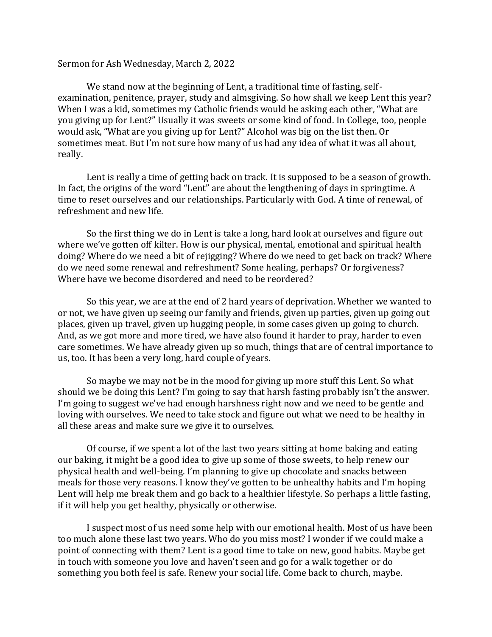## Sermon for Ash Wednesday, March 2, 2022

We stand now at the beginning of Lent, a traditional time of fasting, selfexamination, penitence, prayer, study and almsgiving. So how shall we keep Lent this year? When I was a kid, sometimes my Catholic friends would be asking each other, "What are you giving up for Lent?" Usually it was sweets or some kind of food. In College, too, people would ask, "What are you giving up for Lent?" Alcohol was big on the list then. Or sometimes meat. But I'm not sure how many of us had any idea of what it was all about, really.

Lent is really a time of getting back on track. It is supposed to be a season of growth. In fact, the origins of the word "Lent" are about the lengthening of days in springtime. A time to reset ourselves and our relationships. Particularly with God. A time of renewal, of refreshment and new life.

So the first thing we do in Lent is take a long, hard look at ourselves and figure out where we've gotten off kilter. How is our physical, mental, emotional and spiritual health doing? Where do we need a bit of rejigging? Where do we need to get back on track? Where do we need some renewal and refreshment? Some healing, perhaps? Or forgiveness? Where have we become disordered and need to be reordered?

So this year, we are at the end of 2 hard years of deprivation. Whether we wanted to or not, we have given up seeing our family and friends, given up parties, given up going out places, given up travel, given up hugging people, in some cases given up going to church. And, as we got more and more tired, we have also found it harder to pray, harder to even care sometimes. We have already given up so much, things that are of central importance to us, too. It has been a very long, hard couple of years.

So maybe we may not be in the mood for giving up more stuff this Lent. So what should we be doing this Lent? I'm going to say that harsh fasting probably isn't the answer. I'm going to suggest we've had enough harshness right now and we need to be gentle and loving with ourselves. We need to take stock and figure out what we need to be healthy in all these areas and make sure we give it to ourselves.

Of course, if we spent a lot of the last two years sitting at home baking and eating our baking, it might be a good idea to give up some of those sweets, to help renew our physical health and well-being. I'm planning to give up chocolate and snacks between meals for those very reasons. I know they've gotten to be unhealthy habits and I'm hoping Lent will help me break them and go back to a healthier lifestyle. So perhaps a little fasting, if it will help you get healthy, physically or otherwise.

I suspect most of us need some help with our emotional health. Most of us have been too much alone these last two years. Who do you miss most? I wonder if we could make a point of connecting with them? Lent is a good time to take on new, good habits. Maybe get in touch with someone you love and haven't seen and go for a walk together or do something you both feel is safe. Renew your social life. Come back to church, maybe.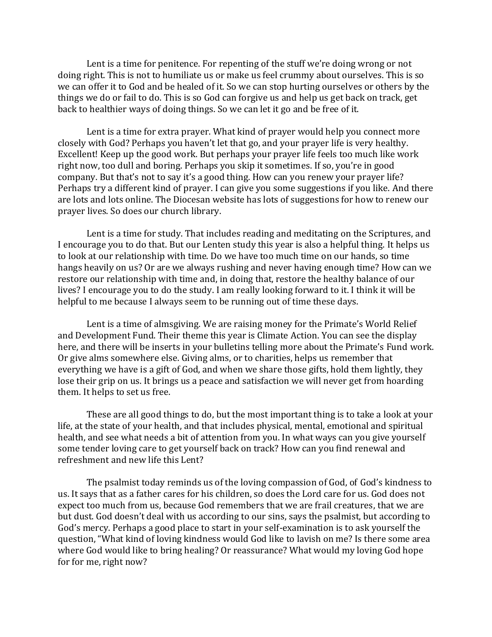Lent is a time for penitence. For repenting of the stuff we're doing wrong or not doing right. This is not to humiliate us or make us feel crummy about ourselves. This is so we can offer it to God and be healed of it. So we can stop hurting ourselves or others by the things we do or fail to do. This is so God can forgive us and help us get back on track, get back to healthier ways of doing things. So we can let it go and be free of it.

Lent is a time for extra prayer. What kind of prayer would help you connect more closely with God? Perhaps you haven't let that go, and your prayer life is very healthy. Excellent! Keep up the good work. But perhaps your prayer life feels too much like work right now, too dull and boring. Perhaps you skip it sometimes. If so, you're in good company. But that's not to say it's a good thing. How can you renew your prayer life? Perhaps try a different kind of prayer. I can give you some suggestions if you like. And there are lots and lots online. The Diocesan website has lots of suggestions for how to renew our prayer lives. So does our church library.

Lent is a time for study. That includes reading and meditating on the Scriptures, and I encourage you to do that. But our Lenten study this year is also a helpful thing. It helps us to look at our relationship with time. Do we have too much time on our hands, so time hangs heavily on us? Or are we always rushing and never having enough time? How can we restore our relationship with time and, in doing that, restore the healthy balance of our lives? I encourage you to do the study. I am really looking forward to it. I think it will be helpful to me because I always seem to be running out of time these days.

Lent is a time of almsgiving. We are raising money for the Primate's World Relief and Development Fund. Their theme this year is Climate Action. You can see the display here, and there will be inserts in your bulletins telling more about the Primate's Fund work. Or give alms somewhere else. Giving alms, or to charities, helps us remember that everything we have is a gift of God, and when we share those gifts, hold them lightly, they lose their grip on us. It brings us a peace and satisfaction we will never get from hoarding them. It helps to set us free.

These are all good things to do, but the most important thing is to take a look at your life, at the state of your health, and that includes physical, mental, emotional and spiritual health, and see what needs a bit of attention from you. In what ways can you give yourself some tender loving care to get yourself back on track? How can you find renewal and refreshment and new life this Lent?

The psalmist today reminds us of the loving compassion of God, of God's kindness to us. It says that as a father cares for his children, so does the Lord care for us. God does not expect too much from us, because God remembers that we are frail creatures, that we are but dust. God doesn't deal with us according to our sins, says the psalmist, but according to God's mercy. Perhaps a good place to start in your self-examination is to ask yourself the question, "What kind of loving kindness would God like to lavish on me? Is there some area where God would like to bring healing? Or reassurance? What would my loving God hope for for me, right now?